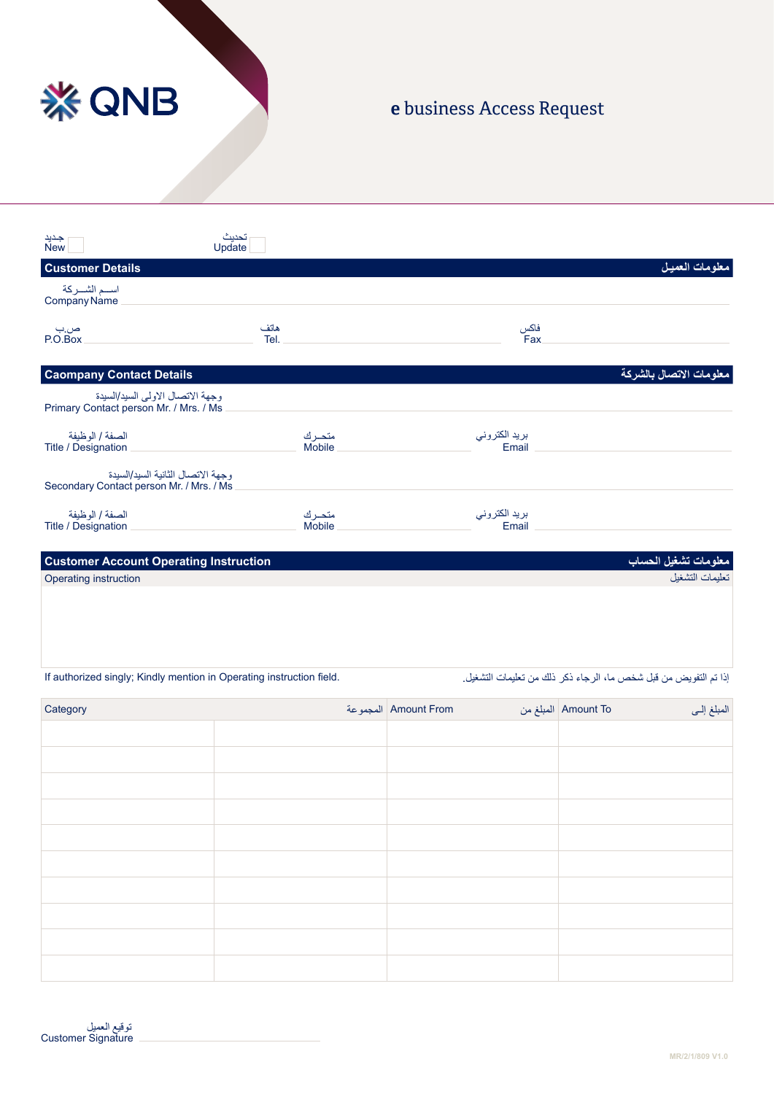

## e business Access Request

| جدید<br>New                                                                   | تحديث<br>Update        |                        |                                         |
|-------------------------------------------------------------------------------|------------------------|------------------------|-----------------------------------------|
| <b>Customer Details</b>                                                       |                        |                        | معلومات العميل                          |
| اسم الشــركة<br>Company Name                                                  |                        |                        |                                         |
| صب<br>P.O.Box                                                                 | هاتف<br>Tel.           | فاكس<br><b>Fax</b>     |                                         |
| <b>Caompany Contact Details</b>                                               |                        |                        | معلومات الاتصال بالشركة                 |
| وجهة الاتصال الاولى السيد/السيدة<br>Primary Contact person Mr. / Mrs. / Ms    |                        |                        |                                         |
| الصفة / الوظيفة<br>Title / Designation                                        | متحرك<br>Mobile        | بريد الكتروني<br>Email |                                         |
| وجهة الاتصال الثانبة السبد/السبدة<br>Secondary Contact person Mr. / Mrs. / Ms |                        |                        |                                         |
| الصفة / الوظيفة<br>Title / Designation                                        | متحرك<br><b>Mobile</b> | بريد الكتروني<br>Email |                                         |
| <b>Customer Account Operating Instruction</b>                                 |                        |                        |                                         |
| Operating instruction                                                         |                        |                        | معلومات تشغيل الحساب<br>تعليمات التشغيل |
|                                                                               |                        |                        |                                         |
|                                                                               |                        |                        |                                         |
|                                                                               |                        |                        |                                         |

إذا تم التفويض من قبل شخص ما، الرجاء ذكر ذلك من تعليمات التشغيل. If authorized singly; Kindly mention in Operating instruction field.

| Category | Amount From   المجموعة | Amount To المبلغ من<br>المبلغ إلى |
|----------|------------------------|-----------------------------------|
|          |                        |                                   |
|          |                        |                                   |
|          |                        |                                   |
|          |                        |                                   |
|          |                        |                                   |
|          |                        |                                   |
|          |                        |                                   |
|          |                        |                                   |
|          |                        |                                   |
|          |                        |                                   |
|          |                        |                                   |